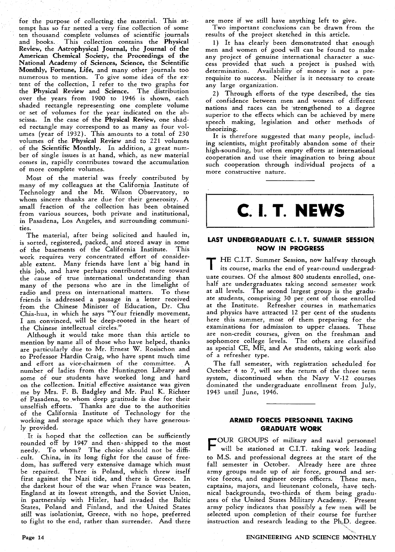for the purpose of collecting the material. This attempt has so far netted a very fine collection of some ten thousand complete volumes of scientific journals and books. This collection contains the Physical Review, the Astrophysical Journal, the Journal of the American Chemical Society, the Proceedings of the National Academy of Sciences, Science, the Scientific Monthly, Fortune, Life, and many other journals too numerous to mention. To give some idea of the ex-tent of the collection, I refer to the two graphs for the Physical Review and Science. The distribution over the years from **1900** to **1946** is shown, each shaded rectangle representing one complete volume or set of volumes for the year indicated on the abscissa. In the case of the Physical Review, one shaded rectangle may correspond to as many as four volumes (year of **1932).** This amounts to a total of **230**  volumes of the Physical Review and to **221** volumes of the Scientific Monthly. In addition, a great number of single issues is at hand, which, as new material comes in, rapidly contributes toward the accumulation of more complete volumes.

Most of the material was freely contributed by many of my colleagues at the California Institute of Technology and the Mt. Wilson Observatory, to whom sincere thanks are due for their generosity. A small fraction of the collection has been obtained from various sources, both private and institutional, in Pasadena, Los Angeles, and surrounding communities.

The material, after being solicited and hauled in, is sorted, registered, packed, and stored away in some of the basements of the California Institute. This work requires very concentrated effort of considerable extent. Many friends have lent a' big hand in this job, and have perhaps contributed more toward the cause of true international understanding than many of the persons who are in the limelight of radio and press on international matters. To these friends is addressed a passage in a letter received from the Chinese Minister of Education, Dr. Chu Chia-hua, in which he says "Your friendly movement, I am convinced, will be deep-rooted in the heart of the Chinese intellectual circles."

Although it would take more than this article to mention by name all of those who have helped, thanks are particularly due to Mr. Ernest W. Rosischon and to Professor Hardin Craig, who have spent much time and effort as vice-chairmen of the committee. A number of ladies from the Huntington Library and some of our students have worked long and hard on the collection. Initial effective assistance was given me by Mrs. F. B. Badgley and Mr. Paul K. Richter of Pasadena, to whom deep gratitude is due for their unselfish efforts. Thanks are due to the authorities of the California Institute of Technology for the working and storage space which they have generously provided.

It is hoped that the collection can be sufficiently rounded off by **1947** and then- shipped to the most needy. To whom? The choice should not be difficult. China, in its long fight for the cause of freedom, has suffered very extensive damage which must There is Poland, which threw itself first against the Nazi tide, and there is Greece. In the darkest hour of the war when France was beaten, England at its lowest strength, and the Soviet Union, in partnership with Hitler, had invaded the Baltic States, Poland and Finland, and the United States still was isolationist, Greece, with no hope, preferred to fight to the end, rather than surrender. And there are more if we still have anything left to give.

Two important conclusions can be drawn from the results of the project sketched in this article.

**1)** It has clearly been demonstrated that enough men and women of good will can be found to make any project of genuine international character a success provided that such a project is pushed with determination. Availability of money is not a prerequisite to success. Neither is it necessary to create any large organization.

**2)** Through efforts of the type described, the ties of confidence between men and women of different nations and races can be strengthened to a degree superior to the effects which can be achieved by mere speech making, legislation and other methods of theorizing.

It is therefore suggested that many people, including scientists, might profitably abandon some of their high-sounding, but often empty efforts at international cooperation and use their imagination to bring about such cooperation through individual projects of a more constructive nature.



### **LAST UNDERGRADUATE C. 1. T. SUMMER SESSION NOW IN PROGRESS**

HE C.I.T. Summer Session, now halfway through its course, marks the end of year-round undergraduate courses. Of the almost **800** students enrolled, onehalf are undergraduates taking second semester work at all levels. The second largest group is the graduate students, comprising **30** per cent of those enrolled at the Institute. Refresher courses in mathematics and physics have attracted **12** per cent of the students here this summer, most of them preparing for the examinations for admission to upper classes. These are non-credit courses, given on the freshman and sophomore college levels. The others are classified as special CE, ME, and Ae students, taking work also of a refresher type.

The fall semester, with registration scheduled for October **4** to 7, will see the return of the three term system, discontinued when the Navy **V-12** courses dominated the undergraduate enrollment from July, **1943** until June, **1946.** 

## **ARMED FORCES PERSONNEL TAKING GRADUATE WORK**

F OUR GROUPS of military and naval personnel will be stationed at C.I.T. taking work leading - to M.S. and professional degrees at the start of the fall semester in October. Already here are three army groups made up of air force, ground and service forces, and engineer corps officers. These men, captains, majors, and lieutenant colonels, have technical backgrounds, two-thirds of them being graduates of the United States Military Academy. Present army policy indicates that possibly a few men will be selected upon completion of their course for further instruction and research leading to the Ph.D. degree.